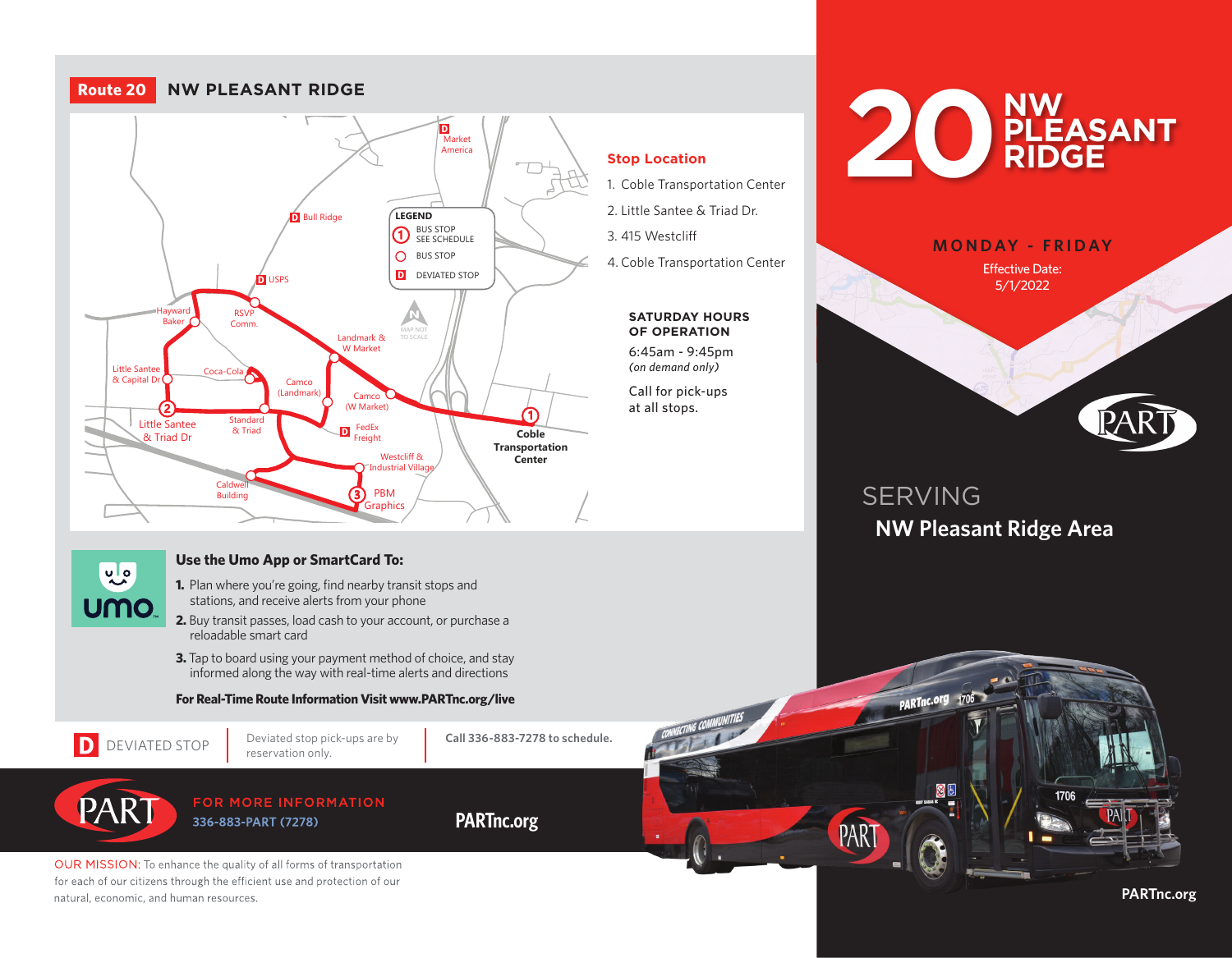#### **Yadkin**  $\sum$  (W Market) 3 **D** Bull Ridge Market America D USPS RSVP Comm. Hayward Baker Little Santee Little Santee<br>& Capital Dr **Standard** & Triad Caldwell Building **Coble Transportation Center** Little Santee & Triad Dr PBM **Graphics** FedEx reight Camco (Landmark) Landmark & W Market Camco (W Market) Westcliff & Industrial Village D D **LEGEND** BUS STOP **1** BUS STOP<br>**1** SEE SCHEDULE O BUS STOP **D** DEVIATED STOP **Route 20 NW PLEASANT RIDGE**

### **Stop Location**

1. Coble Transportation Center

2. Little Santee & Triad Dr.

3. 415 Westcliff

4. Coble Transportation Center

#### **SATURDAY HOURS OF OPERATION**

6:45am - 9:45pm *(on demand only)*

Call for pick-ups at all stops.





# SERVING **NW Pleasant Ridge Area**

PARTnc.org 1706

PAR<sup>®</sup>



# **Use the Umo App or SmartCard To:**

- **1.** Plan where you're going, find nearby transit stops and stations, and receive alerts from your phone
- **2.** Buy transit passes, load cash to your account, or purchase a reloadable smart card
- **3.** Tap to board using your payment method of choice, and stay informed along the way with real-time alerts and directions

### **For Real-Time Route Information Visit www.PARTnc.org/live**



natural, economic, and human resources.

PART

Deviated stop pick-ups are by

**Call 336-883-7278 to schedule.**

## FOR MORE INFORMATION 336-883-PART (7278)

OUR MISSION: To enhance the quality of all forms of transportation for each of our citizens through the efficient use and protection of our

**PARTnc.org**

**PARTnc.org**

1706